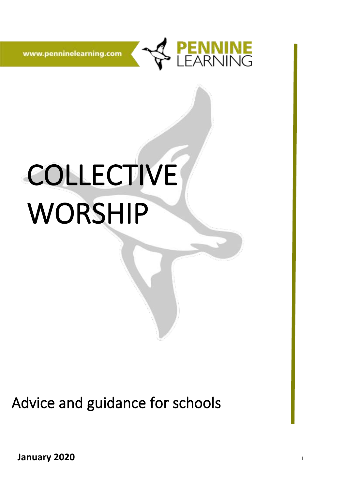

www.penninelearning.com

# COLLECTIVE WORSHIP

Advice and guidance for schools

**January 2020**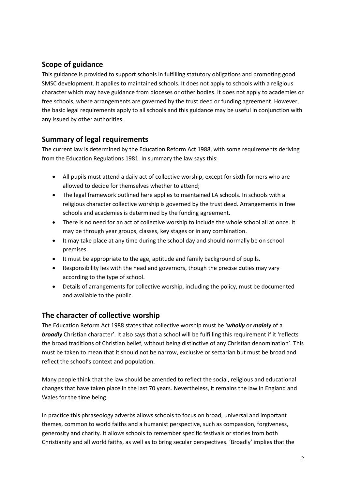### **Scope of guidance**

This guidance is provided to support schools in fulfilling statutory obligations and promoting good SMSC development. It applies to maintained schools. It does not apply to schools with a religious character which may have guidance from dioceses or other bodies. It does not apply to academies or free schools, where arrangements are governed by the trust deed or funding agreement. However, the basic legal requirements apply to all schools and this guidance may be useful in conjunction with any issued by other authorities.

#### **Summary of legal requirements**

The current law is determined by the Education Reform Act 1988, with some requirements deriving from the Education Regulations 1981. In summary the law says this:

- All pupils must attend a daily act of collective worship, except for sixth formers who are allowed to decide for themselves whether to attend;
- The legal framework outlined here applies to maintained LA schools. In schools with a religious character collective worship is governed by the trust deed. Arrangements in free schools and academies is determined by the funding agreement.
- There is no need for an act of collective worship to include the whole school all at once. It may be through year groups, classes, key stages or in any combination.
- It may take place at any time during the school day and should normally be on school premises.
- It must be appropriate to the age, aptitude and family background of pupils.
- Responsibility lies with the head and governors, though the precise duties may vary according to the type of school.
- Details of arrangements for collective worship, including the policy, must be documented and available to the public.

#### **The character of collective worship**

The Education Reform Act 1988 states that collective worship must be '*wholly* or *mainly* of a *broadly* Christian character'. It also says that a school will be fulfilling this requirement if it 'reflects the broad traditions of Christian belief, without being distinctive of any Christian denomination'. This must be taken to mean that it should not be narrow, exclusive or sectarian but must be broad and reflect the school's context and population.

Many people think that the law should be amended to reflect the social, religious and educational changes that have taken place in the last 70 years. Nevertheless, it remains the law in England and Wales for the time being.

In practice this phraseology adverbs allows schools to focus on broad, universal and important themes, common to world faiths and a humanist perspective, such as compassion, forgiveness, generosity and charity. It allows schools to remember specific festivals or stories from both Christianity and all world faiths, as well as to bring secular perspectives. 'Broadly' implies that the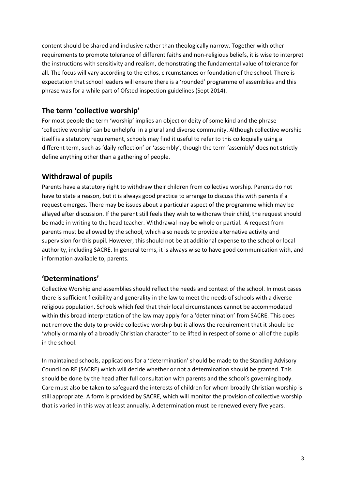content should be shared and inclusive rather than theologically narrow. Together with other requirements to promote tolerance of different faiths and non-religious beliefs, it is wise to interpret the instructions with sensitivity and realism, demonstrating the fundamental value of tolerance for all. The focus will vary according to the ethos, circumstances or foundation of the school. There is expectation that school leaders will ensure there is a 'rounded' programme of assemblies and this phrase was for a while part of Ofsted inspection guidelines (Sept 2014).

#### **The term 'collective worship'**

For most people the term 'worship' implies an object or deity of some kind and the phrase 'collective worship' can be unhelpful in a plural and diverse community. Although collective worship itself is a statutory requirement, schools may find it useful to refer to this colloquially using a different term, such as 'daily reflection' or 'assembly', though the term 'assembly' does not strictly define anything other than a gathering of people.

## **Withdrawal of pupils**

Parents have a statutory right to withdraw their children from collective worship. Parents do not have to state a reason, but it is always good practice to arrange to discuss this with parents if a request emerges. There may be issues about a particular aspect of the programme which may be allayed after discussion. If the parent still feels they wish to withdraw their child, the request should be made in writing to the head teacher. Withdrawal may be whole or partial. A request from parents must be allowed by the school, which also needs to provide alternative activity and supervision for this pupil. However, this should not be at additional expense to the school or local authority, including SACRE. In general terms, it is always wise to have good communication with, and information available to, parents.

#### **'Determinations'**

Collective Worship and assemblies should reflect the needs and context of the school. In most cases there is sufficient flexibility and generality in the law to meet the needs of schools with a diverse religious population. Schools which feel that their local circumstances cannot be accommodated within this broad interpretation of the law may apply for a 'determination' from SACRE. This does not remove the duty to provide collective worship but it allows the requirement that it should be 'wholly or mainly of a broadly Christian character' to be lifted in respect of some or all of the pupils in the school.

In maintained schools, applications for a 'determination' should be made to the Standing Advisory Council on RE (SACRE) which will decide whether or not a determination should be granted. This should be done by the head after full consultation with parents and the school's governing body. Care must also be taken to safeguard the interests of children for whom broadly Christian worship is still appropriate. A form is provided by SACRE, which will monitor the provision of collective worship that is varied in this way at least annually. A determination must be renewed every five years.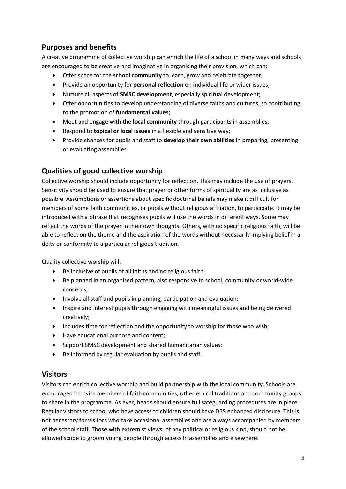## **Purposes and benefits**

A creative programme of collective worship can enrich the life of a school in many ways and schools are encouraged to be creative and imaginative in organising their provision, which can:

- Offer space for the **school community** to learn, grow and celebrate together;
- Provide an opportunity for **personal reflection** on individual life or wider issues;
- Nurture all aspects of **SMSC development**, especially spiritual development;
- Offer opportunities to develop understanding of diverse faiths and cultures, so contributing to the promotion of **fundamental values**;
- Meet and engage with the **local community** through participants in assemblies;
- Respond to **topical or local issues** in a flexible and sensitive way;
- Provide chances for pupils and staff to **develop their own abilities** in preparing, presenting or evaluating assemblies.

#### **Qualities of good collective worship**

Collective worship should include opportunity for reflection. This may include the use of prayers. Sensitivity should be used to ensure that prayer or other forms of spirituality are as inclusive as possible. Assumptions or assertions about specific doctrinal beliefs may make it difficult for members of some faith communities, or pupils without religious affiliation, to participate. It may be introduced with a phrase that recognises pupils will use the words in different ways. Some may reflect the words of the prayer in their own thoughts. Others, with no specific religious faith, will be able to reflect on the theme and the aspiration of the words without necessarily implying belief in a deity or conformity to a particular religious tradition.

Quality collective worship will:

- Be inclusive of pupils of all faiths and no religious faith;
- Be planned in an organised pattern, also responsive to school, community or world-wide concerns;
- Involve all staff and pupils in planning, participation and evaluation;
- Inspire and interest pupils through engaging with meaningful issues and being delivered creatively;
- Includes time for reflection and the opportunity to worship for those who wish;
- Have educational purpose and content;
- Support SMSC development and shared humanitarian values;
- Be informed by regular evaluation by pupils and staff.

#### **Visitors**

Visitors can enrich collective worship and build partnership with the local community. Schools are encouraged to invite members of faith communities, other ethical traditions and community groups to share in the programme. As ever, heads should ensure full safeguarding procedures are in place. Regular visitors to school who have access to children should have DBS enhanced disclosure. This is not necessary for visitors who take occasional assemblies and are always accompanied by members of the school staff. Those with extremist views, of any political or religious kind, should not be allowed scope to groom young people through access in assemblies and elsewhere.